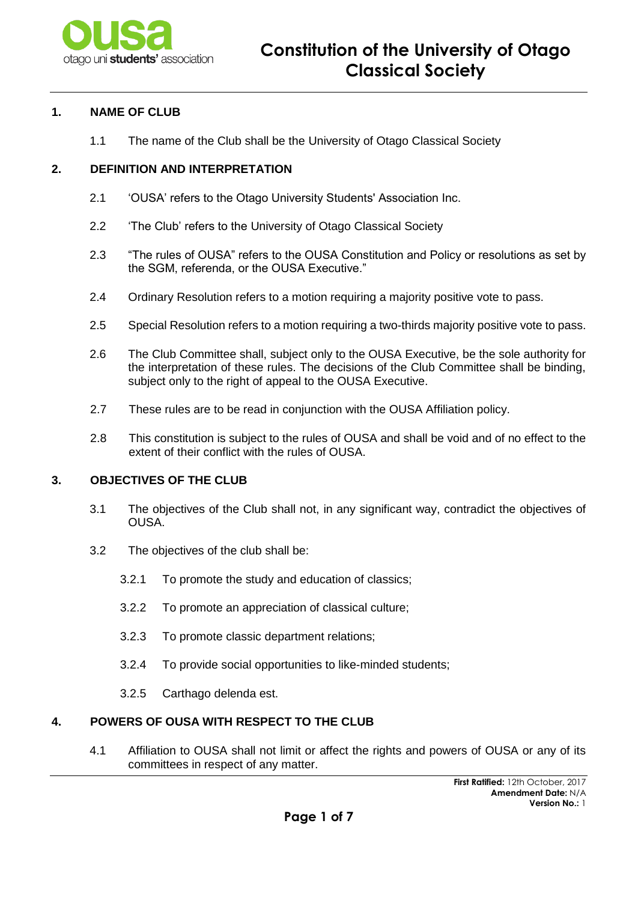

### **1. NAME OF CLUB**

1.1 The name of the Club shall be the University of Otago Classical Society

#### **2. DEFINITION AND INTERPRETATION**

- 2.1 'OUSA' refers to the Otago University Students' Association Inc.
- 2.2 'The Club' refers to the University of Otago Classical Society
- 2.3 "The rules of OUSA" refers to the OUSA Constitution and Policy or resolutions as set by the SGM, referenda, or the OUSA Executive."
- 2.4 Ordinary Resolution refers to a motion requiring a majority positive vote to pass.
- 2.5 Special Resolution refers to a motion requiring a two-thirds majority positive vote to pass.
- 2.6 The Club Committee shall, subject only to the OUSA Executive, be the sole authority for the interpretation of these rules. The decisions of the Club Committee shall be binding, subject only to the right of appeal to the OUSA Executive.
- 2.7 These rules are to be read in conjunction with the OUSA Affiliation policy.
- 2.8 This constitution is subject to the rules of OUSA and shall be void and of no effect to the extent of their conflict with the rules of OUSA.

# **3. OBJECTIVES OF THE CLUB**

- 3.1 The objectives of the Club shall not, in any significant way, contradict the objectives of OUSA.
- 3.2 The objectives of the club shall be:
	- 3.2.1 To promote the study and education of classics;
	- 3.2.2 To promote an appreciation of classical culture;
	- 3.2.3 To promote classic department relations;
	- 3.2.4 To provide social opportunities to like-minded students;
	- 3.2.5 Carthago delenda est.

# **4. POWERS OF OUSA WITH RESPECT TO THE CLUB**

4.1 Affiliation to OUSA shall not limit or affect the rights and powers of OUSA or any of its committees in respect of any matter.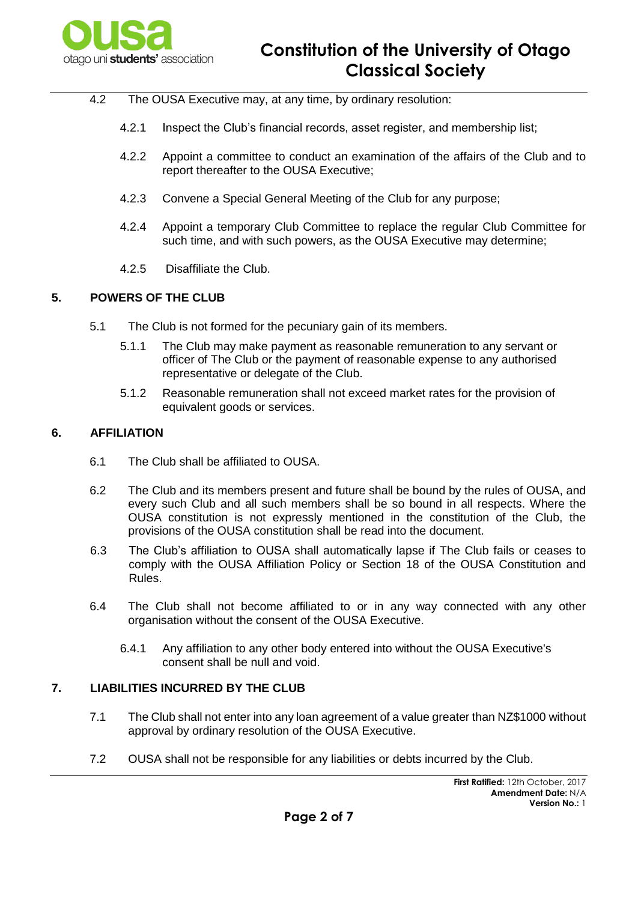

- 4.2 The OUSA Executive may, at any time, by ordinary resolution:
	- 4.2.1 Inspect the Club's financial records, asset register, and membership list;
	- 4.2.2 Appoint a committee to conduct an examination of the affairs of the Club and to report thereafter to the OUSA Executive;
	- 4.2.3 Convene a Special General Meeting of the Club for any purpose;
	- 4.2.4 Appoint a temporary Club Committee to replace the regular Club Committee for such time, and with such powers, as the OUSA Executive may determine;
	- 4.2.5 Disaffiliate the Club.

#### **5. POWERS OF THE CLUB**

- 5.1 The Club is not formed for the pecuniary gain of its members.
	- 5.1.1 The Club may make payment as reasonable remuneration to any servant or officer of The Club or the payment of reasonable expense to any authorised representative or delegate of the Club.
	- 5.1.2 Reasonable remuneration shall not exceed market rates for the provision of equivalent goods or services.

#### **6. AFFILIATION**

- 6.1 The Club shall be affiliated to OUSA.
- 6.2 The Club and its members present and future shall be bound by the rules of OUSA, and every such Club and all such members shall be so bound in all respects. Where the OUSA constitution is not expressly mentioned in the constitution of the Club, the provisions of the OUSA constitution shall be read into the document.
- 6.3 The Club's affiliation to OUSA shall automatically lapse if The Club fails or ceases to comply with the OUSA Affiliation Policy or Section 18 of the OUSA Constitution and Rules.
- 6.4 The Club shall not become affiliated to or in any way connected with any other organisation without the consent of the OUSA Executive.
	- 6.4.1 Any affiliation to any other body entered into without the OUSA Executive's consent shall be null and void.

#### **7. LIABILITIES INCURRED BY THE CLUB**

- 7.1 The Club shall not enter into any loan agreement of a value greater than NZ\$1000 without approval by ordinary resolution of the OUSA Executive.
- 7.2 OUSA shall not be responsible for any liabilities or debts incurred by the Club.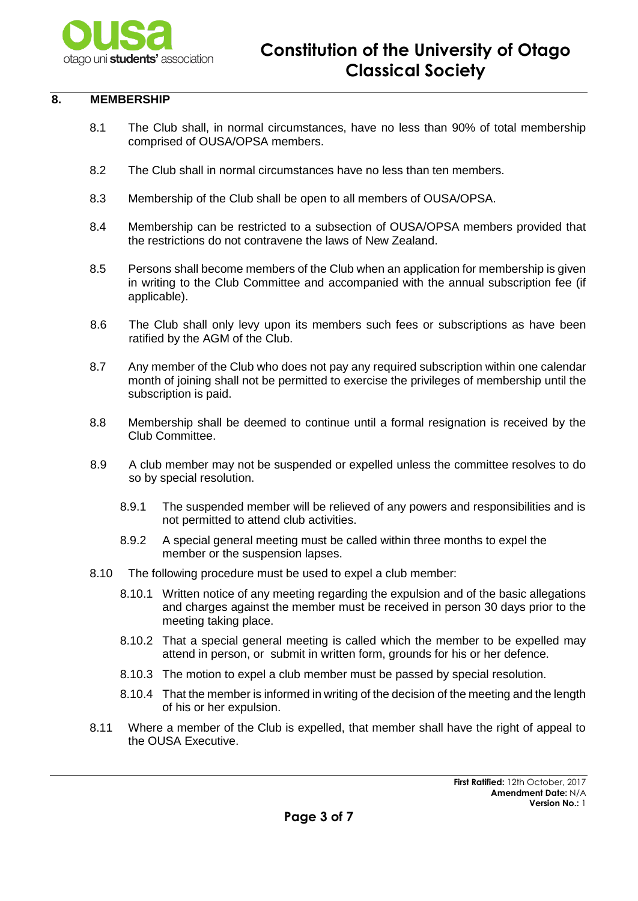

#### **8. MEMBERSHIP**

- 8.1 The Club shall, in normal circumstances, have no less than 90% of total membership comprised of OUSA/OPSA members.
- 8.2 The Club shall in normal circumstances have no less than ten members.
- 8.3 Membership of the Club shall be open to all members of OUSA/OPSA.
- 8.4 Membership can be restricted to a subsection of OUSA/OPSA members provided that the restrictions do not contravene the laws of New Zealand.
- 8.5 Persons shall become members of the Club when an application for membership is given in writing to the Club Committee and accompanied with the annual subscription fee (if applicable).
- 8.6 The Club shall only levy upon its members such fees or subscriptions as have been ratified by the AGM of the Club.
- 8.7 Any member of the Club who does not pay any required subscription within one calendar month of joining shall not be permitted to exercise the privileges of membership until the subscription is paid.
- 8.8 Membership shall be deemed to continue until a formal resignation is received by the Club Committee.
- 8.9 A club member may not be suspended or expelled unless the committee resolves to do so by special resolution.
	- 8.9.1 The suspended member will be relieved of any powers and responsibilities and is not permitted to attend club activities.
	- 8.9.2 A special general meeting must be called within three months to expel the member or the suspension lapses.
- 8.10 The following procedure must be used to expel a club member:
	- 8.10.1 Written notice of any meeting regarding the expulsion and of the basic allegations and charges against the member must be received in person 30 days prior to the meeting taking place.
	- 8.10.2 That a special general meeting is called which the member to be expelled may attend in person, or submit in written form, grounds for his or her defence.
	- 8.10.3 The motion to expel a club member must be passed by special resolution.
	- 8.10.4 That the member is informed in writing of the decision of the meeting and the length of his or her expulsion.
- 8.11 Where a member of the Club is expelled, that member shall have the right of appeal to the OUSA Executive.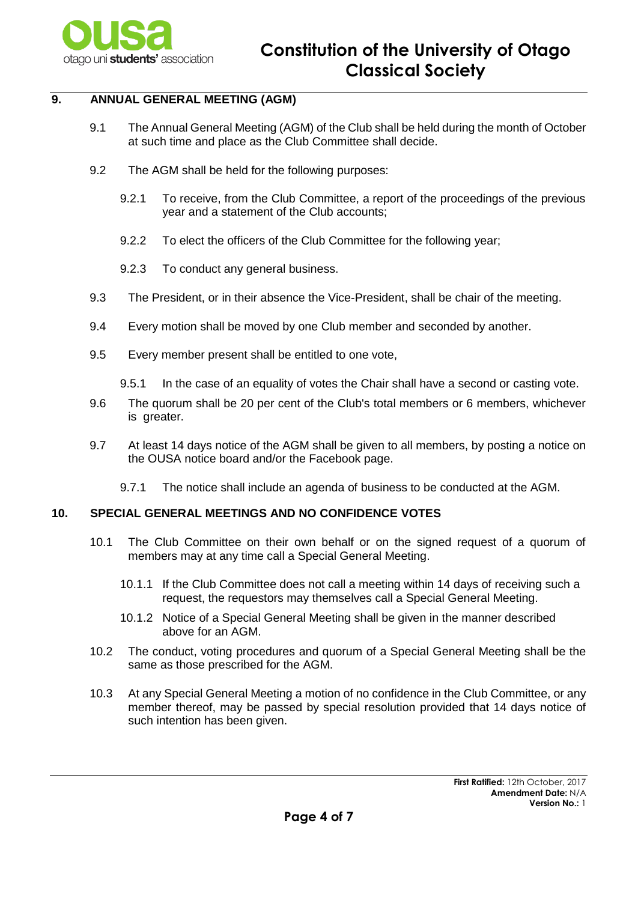

# **9. ANNUAL GENERAL MEETING (AGM)**

- 9.1 The Annual General Meeting (AGM) of the Club shall be held during the month of October at such time and place as the Club Committee shall decide.
- 9.2 The AGM shall be held for the following purposes:
	- 9.2.1 To receive, from the Club Committee, a report of the proceedings of the previous year and a statement of the Club accounts;
	- 9.2.2 To elect the officers of the Club Committee for the following year;
	- 9.2.3 To conduct any general business.
- 9.3 The President, or in their absence the Vice-President, shall be chair of the meeting.
- 9.4 Every motion shall be moved by one Club member and seconded by another.
- 9.5 Every member present shall be entitled to one vote,
	- 9.5.1 In the case of an equality of votes the Chair shall have a second or casting vote.
- 9.6 The quorum shall be 20 per cent of the Club's total members or 6 members, whichever is greater.
- 9.7 At least 14 days notice of the AGM shall be given to all members, by posting a notice on the OUSA notice board and/or the Facebook page.
	- 9.7.1 The notice shall include an agenda of business to be conducted at the AGM.

#### **10. SPECIAL GENERAL MEETINGS AND NO CONFIDENCE VOTES**

- 10.1 The Club Committee on their own behalf or on the signed request of a quorum of members may at any time call a Special General Meeting.
	- 10.1.1 If the Club Committee does not call a meeting within 14 days of receiving such a request, the requestors may themselves call a Special General Meeting.
	- 10.1.2 Notice of a Special General Meeting shall be given in the manner described above for an AGM.
- 10.2 The conduct, voting procedures and quorum of a Special General Meeting shall be the same as those prescribed for the AGM.
- 10.3 At any Special General Meeting a motion of no confidence in the Club Committee, or any member thereof, may be passed by special resolution provided that 14 days notice of such intention has been given.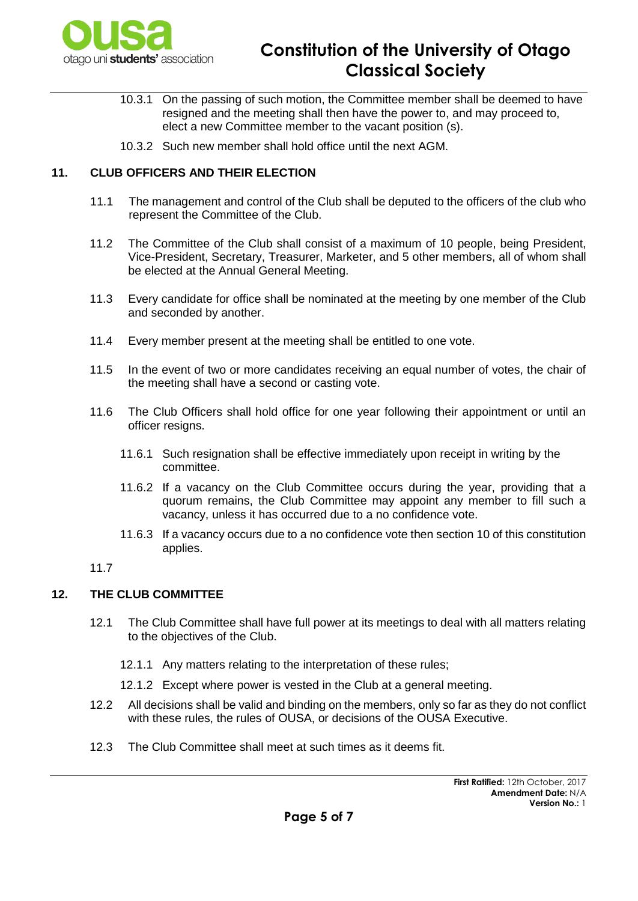

# **Constitution of the University of Otago Classical Society**

- 10.3.1 On the passing of such motion, the Committee member shall be deemed to have resigned and the meeting shall then have the power to, and may proceed to, elect a new Committee member to the vacant position (s).
- 10.3.2 Such new member shall hold office until the next AGM.

# **11. CLUB OFFICERS AND THEIR ELECTION**

- 11.1 The management and control of the Club shall be deputed to the officers of the club who represent the Committee of the Club.
- 11.2 The Committee of the Club shall consist of a maximum of 10 people, being President, Vice-President, Secretary, Treasurer, Marketer, and 5 other members, all of whom shall be elected at the Annual General Meeting.
- 11.3 Every candidate for office shall be nominated at the meeting by one member of the Club and seconded by another.
- 11.4 Every member present at the meeting shall be entitled to one vote.
- 11.5 In the event of two or more candidates receiving an equal number of votes, the chair of the meeting shall have a second or casting vote.
- 11.6 The Club Officers shall hold office for one year following their appointment or until an officer resigns.
	- 11.6.1 Such resignation shall be effective immediately upon receipt in writing by the committee.
	- 11.6.2 If a vacancy on the Club Committee occurs during the year, providing that a quorum remains, the Club Committee may appoint any member to fill such a vacancy, unless it has occurred due to a no confidence vote.
	- 11.6.3 If a vacancy occurs due to a no confidence vote then section 10 of this constitution applies.

11.7

## **12. THE CLUB COMMITTEE**

- 12.1 The Club Committee shall have full power at its meetings to deal with all matters relating to the objectives of the Club.
	- 12.1.1 Any matters relating to the interpretation of these rules;
	- 12.1.2 Except where power is vested in the Club at a general meeting.
- 12.2 All decisions shall be valid and binding on the members, only so far as they do not conflict with these rules, the rules of OUSA, or decisions of the OUSA Executive.
- 12.3 The Club Committee shall meet at such times as it deems fit.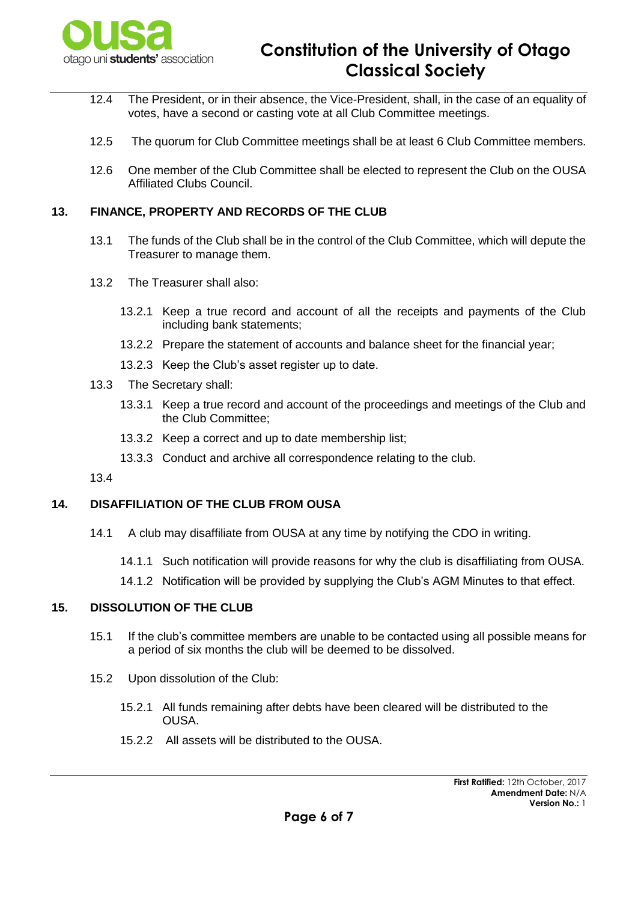

- 12.4 The President, or in their absence, the Vice-President, shall, in the case of an equality of votes, have a second or casting vote at all Club Committee meetings.
- 12.5 The quorum for Club Committee meetings shall be at least 6 Club Committee members.
- 12.6 One member of the Club Committee shall be elected to represent the Club on the OUSA Affiliated Clubs Council.

#### **13. FINANCE, PROPERTY AND RECORDS OF THE CLUB**

- 13.1 The funds of the Club shall be in the control of the Club Committee, which will depute the Treasurer to manage them.
- 13.2 The Treasurer shall also:
	- 13.2.1 Keep a true record and account of all the receipts and payments of the Club including bank statements;
	- 13.2.2 Prepare the statement of accounts and balance sheet for the financial year;
	- 13.2.3 Keep the Club's asset register up to date.
- 13.3 The Secretary shall:
	- 13.3.1 Keep a true record and account of the proceedings and meetings of the Club and the Club Committee;
	- 13.3.2 Keep a correct and up to date membership list;
	- 13.3.3 Conduct and archive all correspondence relating to the club.

13.4

#### **14. DISAFFILIATION OF THE CLUB FROM OUSA**

- 14.1 A club may disaffiliate from OUSA at any time by notifying the CDO in writing.
	- 14.1.1 Such notification will provide reasons for why the club is disaffiliating from OUSA.
	- 14.1.2 Notification will be provided by supplying the Club's AGM Minutes to that effect.

# **15. DISSOLUTION OF THE CLUB**

- 15.1 If the club's committee members are unable to be contacted using all possible means for a period of six months the club will be deemed to be dissolved.
- 15.2 Upon dissolution of the Club:
	- 15.2.1 All funds remaining after debts have been cleared will be distributed to the OUSA.
	- 15.2.2 All assets will be distributed to the OUSA.